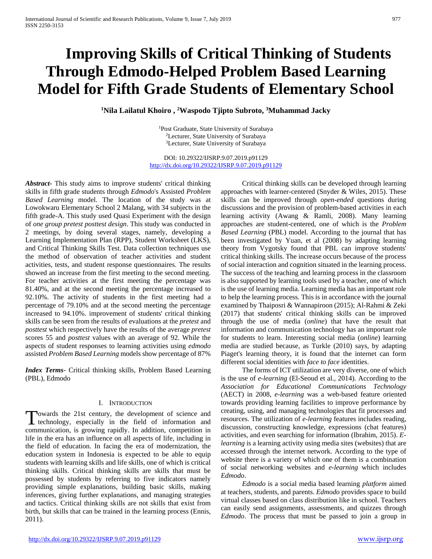# **Improving Skills of Critical Thinking of Students Through Edmodo-Helped Problem Based Learning Model for Fifth Grade Students of Elementary School**

**1 Nila Lailatul Khoiro , 2 Waspodo Tjipto Subroto, 3 Muhammad Jacky**

1Post Graduate, State University of Surabaya 2Lecturer, State University of Surabaya 3Lecturer, State University of Surabaya

DOI: 10.29322/IJSRP.9.07.2019.p91129 <http://dx.doi.org/10.29322/IJSRP.9.07.2019.p91129>

*Abstract***-** This study aims to improve students' critical thinking skills in fifth grade students through *Edmodo*'s Assisted *Problem Based Learning* model. The location of the study was at Lowokwaru Elementary School 2 Malang, with 34 subjects in the fifth grade-A. This study used Quasi Experiment with the design of *one group pretest posttest design*. This study was conducted in 2 meetings, by doing several stages, namely, developing a Learning Implementation Plan (RPP), Student Worksheet (LKS), and Critical Thinking Skills Test. Data collection techniques use the method of observation of teacher activities and student activities, tests, and student response questionnaires. The results showed an increase from the first meeting to the second meeting. For teacher activities at the first meeting the percentage was 81.40%, and at the second meeting the percentage increased to 92.10%. The activity of students in the first meeting had a percentage of 79.10% and at the second meeting the percentage increased to 94.10%. improvement of students' critical thinking skills can be seen from the results of evaluations at the *pretest* and *posttest* which respectively have the results of the average *pretest* scores 55 and *posttest* values with an average of 92. While the aspects of student responses to learning activities using *edmodo* assisted *Problem Based Learning* models show percentage of 87%

*Index Terms*- Critical thinking skills, Problem Based Learning (PBL), Edmodo

## I. INTRODUCTION

owards the 21st century, the development of science and Towards the 21st century, the development of science and technology, especially in the field of information and communication, is growing rapidly. In addition, competition in life in the era has an influence on all aspects of life, including in the field of education. In facing the era of modernization, the education system in Indonesia is expected to be able to equip students with learning skills and life skills, one of which is critical thinking skills. Critical thinking skills are skills that must be possessed by students by referring to five indicators namely providing simple explanations, building basic skills, making inferences, giving further explanations, and managing strategies and tactics. Critical thinking skills are not skills that exist from birth, but skills that can be trained in the learning process (Ennis, 2011).

 Critical thinking skills can be developed through learning approaches with learner-centered (Snyder & Wiles, 2015). These skills can be improved through *open-ended* questions during discussions and the provision of problem-based activities in each learning activity (Awang & Ramli, 2008). Many learning approaches are student-centered, one of which is the *Problem Based Learning* (PBL) model. According to the journal that has been investigated by Yuan, et al (2008) by adapting learning theory from Vygotsky found that PBL can improve students' critical thinking skills. The increase occurs because of the process of social interaction and cognition situated in the learning process. The success of the teaching and learning process in the classroom is also supported by learning tools used by a teacher, one of which is the use of learning media. Learning media has an important role to help the learning process. This is in accordance with the journal examined by Thaiposri & Wannapiroon (2015); Al-Rahmi & Zeki (2017) that students' critical thinking skills can be improved through the use of media (*online*) that have the result that information and communication technology has an important role for students to learn. Interesting social media (*online*) learning media are studied because, as Turkle (2010) says, by adapting Piaget's learning theory, it is found that the internet can form different social identities with *face to face* identities.

 The forms of ICT utilization are very diverse, one of which is the use of *e-learning* (El-Seoud et al., 2014). According to the *Association for Educational Communications Technology* (AECT) in 2008, *e-learning* was a web-based feature oriented towards providing learning facilities to improve performance by creating, using, and managing technologies that fit processes and resources. The utilization of *e-learning* features includes reading, discussion, constructing knowledge, expressions (chat features) activities, and even searching for information (Ibrahim, 2015). *Elearning* is a learning activity using media sites (websites) that are accessed through the internet network. According to the type of website there is a variety of which one of them is a combination of social networking websites and *e-learning* which includes *Edmodo*.

 *Edmodo* is a social media based learning *platform* aimed at teachers, students, and parents. *Edmodo* provides space to build virtual classes based on class distribution like in school. Teachers can easily send assignments, assessments, and quizzes through *Edmodo*. The process that must be passed to join a group in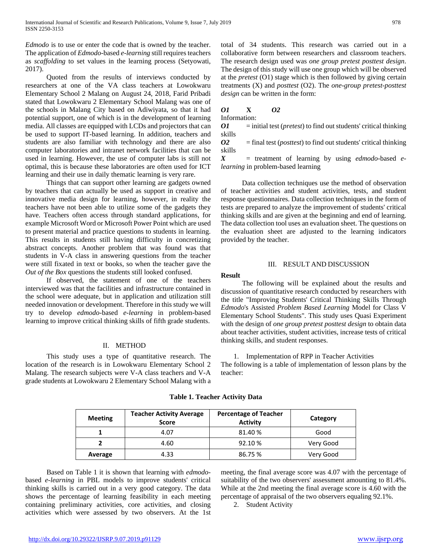*Edmodo* is to use or enter the code that is owned by the teacher. The application of *Edmodo*-based *e-learning* still requires teachers as *scaffolding* to set values in the learning process (Setyowati, 2017).

 Quoted from the results of interviews conducted by researchers at one of the VA class teachers at Lowokwaru Elementary School 2 Malang on August 24, 2018, Farid Pribadi stated that Lowokwaru 2 Elementary School Malang was one of the schools in Malang City based on Adiwiyata, so that it had potential support, one of which is in the development of learning media. All classes are equipped with LCDs and projectors that can be used to support IT-based learning. In addition, teachers and students are also familiar with technology and there are also computer laboratories and intranet network facilities that can be used in learning. However, the use of computer labs is still not optimal, this is because these laboratories are often used for ICT learning and their use in daily thematic learning is very rare.

 Things that can support other learning are gadgets owned by teachers that can actually be used as support in creative and innovative media design for learning, however, in reality the teachers have not been able to utilize some of the gadgets they have. Teachers often access through standard applications, for example Microsoft Word or Microsoft Power Point which are used to present material and practice questions to students in learning. This results in students still having difficulty in concretizing abstract concepts. Another problem that was found was that students in V-A class in answering questions from the teacher were still fixated in text or books, so when the teacher gave the *Out of the Box* questions the students still looked confused.

 If observed, the statement of one of the teachers interviewed was that the facilities and infrastructure contained in the school were adequate, but in application and utilization still needed innovation or development. Therefore in this study we will try to develop *edmodo*-based *e-learning* in problem-based learning to improve critical thinking skills of fifth grade students.

#### II. METHOD

 This study uses a type of quantitative research. The location of the research is in Lowokwaru Elementary School 2 Malang. The research subjects were V-A class teachers and V-A grade students at Lowokwaru 2 Elementary School Malang with a total of 34 students. This research was carried out in a collaborative form between researchers and classroom teachers. The research design used was *one group pretest posttest design*. The design of this study will use one group which will be observed at the *pretest* (O1) stage which is then followed by giving certain treatments (X) and *posttest* (O2). The *one-group pretest-posttest design* can be written in the form:

# *O1* **X** *O2*

Information:

*O1* = initial test (*pretest*) to find out students' critical thinking skills

*O2* = final test (*posttest*) to find out students' critical thinking skills

*X* = treatment of learning by using *edmodo*-based *elearning* in problem-based learning

 Data collection techniques use the method of observation of teacher activities and student activities, tests, and student response questionnaires. Data collection techniques in the form of tests are prepared to analyze the improvement of students' critical thinking skills and are given at the beginning and end of learning. The data collection tool uses an evaluation sheet. The questions on the evaluation sheet are adjusted to the learning indicators provided by the teacher.

#### III. RESULT AND DISCUSSION

#### **Result**

 The following will be explained about the results and discussion of quantitative research conducted by researchers with the title "Improving Students' Critical Thinking Skills Through *Edmodo*'s Assisted *Problem Based Learning* Model for Class V Elementary School Students". This study uses Quasi Experiment with the design of *one group pretest posttest design* to obtain data about teacher activities, student activities, increase tests of critical thinking skills, and student responses.

1. Implementation of RPP in Teacher Activities

The following is a table of implementation of lesson plans by the teacher:

| <b>Meeting</b> | <b>Teacher Activity Average</b><br><b>Score</b> | <b>Percentage of Teacher</b><br><b>Activity</b> | Category  |  |  |
|----------------|-------------------------------------------------|-------------------------------------------------|-----------|--|--|
|                | 4.07                                            | 81.40%                                          | Good      |  |  |
|                | 4.60                                            | 92.10 %                                         | Very Good |  |  |
| Average        | 4.33                                            | 86.75 %                                         | Very Good |  |  |

**Table 1. Teacher Activity Data**

 Based on Table 1 it is shown that learning with *edmodo*based *e-learning* in PBL models to improve students' critical thinking skills is carried out in a very good category. The data shows the percentage of learning feasibility in each meeting containing preliminary activities, core activities, and closing activities which were assessed by two observers. At the 1st meeting, the final average score was 4.07 with the percentage of suitability of the two observers' assessment amounting to 81.4%. While at the 2nd meeting the final average score is 4.60 with the percentage of appraisal of the two observers equaling 92.1%.

2. Student Activity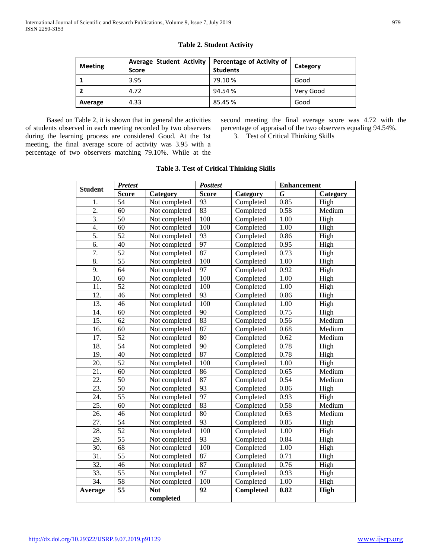| <b>Meeting</b> | <b>Average Student Activity</b><br><b>Score</b> | Percentage of Activity of<br><b>Students</b> | Category  |  |
|----------------|-------------------------------------------------|----------------------------------------------|-----------|--|
|                | 3.95                                            | 79.10 %                                      | Good      |  |
|                | 4.72                                            | 94.54 %                                      | Very Good |  |
| Average        | 4.33                                            | 85.45 %                                      | Good      |  |

# **Table 2. Student Activity**

 Based on Table 2, it is shown that in general the activities of students observed in each meeting recorded by two observers during the learning process are considered Good. At the 1st meeting, the final average score of activity was 3.95 with a percentage of two observers matching 79.10%. While at the second meeting the final average score was 4.72 with the percentage of appraisal of the two observers equaling 94.54%.

3. Test of Critical Thinking Skills

| <b>Student</b>    | <b>Pretest</b>  |                         | <b>Posttest</b> |           | <b>Enhancement</b> |             |  |
|-------------------|-----------------|-------------------------|-----------------|-----------|--------------------|-------------|--|
|                   | <b>Score</b>    | Category                | <b>Score</b>    | Category  | G                  | Category    |  |
| 1.                | 54              | Not completed           | 93              | Completed | 0.85               | High        |  |
| 2.                | 60              | Not completed           | 83              | Completed | 0.58               | Medium      |  |
| 3.                | 50              | Not completed           | 100             | Completed | 1.00               | High        |  |
| 4.                | 60              | Not completed           | 100             | Completed | 1.00               | High        |  |
| 5.                | $\overline{52}$ | Not completed           | 93              | Completed | 0.86               | High        |  |
| 6.                | 40              | Not completed           | 97              | Completed | 0.95               | High        |  |
| 7.                | $\overline{52}$ | Not completed           | 87              | Completed | 0.73               | High        |  |
| 8.                | $\overline{55}$ | Not completed           | 100             | Completed | 1.00               | High        |  |
| 9.                | 64              | Not completed           | 97              | Completed | 0.92               | High        |  |
| 10.               | 60              | Not completed           | 100             | Completed | 1.00               | High        |  |
| 11.               | $\overline{52}$ | Not completed           | 100             | Completed | 1.00               | High        |  |
| 12.               | 46              | Not completed           | 93              | Completed | 0.86               | High        |  |
| $\overline{13}$ . | 46              | Not completed           | 100             | Completed | 1.00               | High        |  |
| 14.               | 60              | Not completed           | 90              | Completed | 0.75               | High        |  |
| 15.               | 62              | Not completed           | 83              | Completed | 0.56               | Medium      |  |
| $\overline{16}$   | $\overline{60}$ | Not completed           | 87              | Completed | 0.68               | Medium      |  |
| 17.               | $\overline{52}$ | Not completed           | 80              | Completed | 0.62               | Medium      |  |
| 18.               | 54              | Not completed           | 90              | Completed | 0.78               | High        |  |
| 19.               | 40              | Not completed           | 87              | Completed | 0.78               | High        |  |
| 20.               | 52              | Not completed           | 100             | Completed | 1.00               | High        |  |
| 21.               | 60              | Not completed           | 86              | Completed | 0.65               | Medium      |  |
| 22.               | $\overline{50}$ | Not completed           | 87              | Completed | 0.54               | Medium      |  |
| 23.               | 50              | Not completed           | 93              | Completed | 0.86               | High        |  |
| 24.               | 55              | Not completed           | 97              | Completed | 0.93               | High        |  |
| 25.               | 60              | Not completed           | 83              | Completed | 0.58               | Medium      |  |
| 26.               | 46              | Not completed           | 80              | Completed | 0.63               | Medium      |  |
| 27.               | 54              | Not completed           | 93              | Completed | 0.85               | High        |  |
| 28.               | $\overline{52}$ | Not completed           | 100             | Completed | 1.00               | High        |  |
| 29.               | $\overline{55}$ | Not completed           | 93              | Completed | 0.84               | High        |  |
| 30.               | 68              | Not completed           | 100             | Completed | 1.00               | High        |  |
| 31.               | 55              | Not completed           | 87              | Completed | 0.71               | High        |  |
| $\overline{32}$ . | 46              | Not completed           | 87              | Completed | 0.76               | High        |  |
| 33.               | $\overline{55}$ | Not completed           | 97              | Completed | 0.93               | High        |  |
| 34.               | 58              | Not completed           | 100<br>92       | Completed | 1.00               | High        |  |
| <b>Average</b>    | 55              | <b>Not</b><br>completed |                 | Completed | 0.82               | <b>High</b> |  |

# **Table 3. Test of Critical Thinking Skills**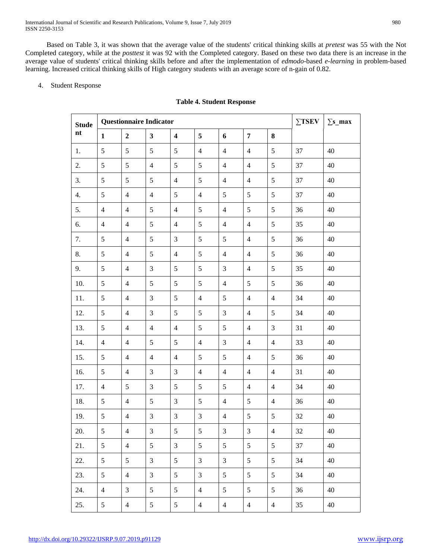International Journal of Scientific and Research Publications, Volume 9, Issue 7, July 2019 980 ISSN 2250-3153

 Based on Table 3, it was shown that the average value of the students' critical thinking skills at *pretest* was 55 with the Not Completed category, while at the *posttest* it was 92 with the Completed category. Based on these two data there is an increase in the average value of students' critical thinking skills before and after the implementation of *edmodo*-based *e-learning* in problem-based learning. Increased critical thinking skills of High category students with an average score of n-gain of 0.82.

### 4. Student Response

### **Table 4. Student Response**

| <b>Stude</b>  | <b>Questionnaire Indicator</b> |                          |                         |                         |                |                |                |                | $\Sigma$ TSEV | $\Sigma$ s_max |
|---------------|--------------------------------|--------------------------|-------------------------|-------------------------|----------------|----------------|----------------|----------------|---------------|----------------|
| $\mathbf{nt}$ | $\mathbf{1}$                   | $\boldsymbol{2}$         | $\overline{\mathbf{3}}$ | $\overline{\mathbf{4}}$ | 5              | 6              | $\overline{7}$ | $\bf 8$        |               |                |
| 1.            | 5                              | 5                        | 5                       | 5                       | $\overline{4}$ | $\overline{4}$ | $\overline{4}$ | 5              | 37            | 40             |
| 2.            | 5                              | $\mathfrak s$            | $\overline{4}$          | 5                       | $\mathfrak{S}$ | $\overline{4}$ | $\overline{4}$ | 5              | 37            | 40             |
| 3.            | $\mathfrak s$                  | 5                        | 5                       | $\overline{4}$          | 5              | $\overline{4}$ | $\overline{4}$ | 5              | 37            | 40             |
| 4.            | 5                              | $\overline{4}$           | $\overline{4}$          | $\sqrt{5}$              | $\overline{4}$ | 5              | 5              | 5              | 37            | 40             |
| 5.            | $\overline{4}$                 | $\overline{4}$           | 5                       | $\overline{4}$          | 5              | $\overline{4}$ | $\mathfrak{S}$ | $\mathfrak{S}$ | 36            | 40             |
| 6.            | $\overline{4}$                 | $\overline{4}$           | 5                       | $\overline{4}$          | 5              | $\overline{4}$ | $\overline{4}$ | 5              | 35            | 40             |
| 7.            | 5                              | $\overline{4}$           | 5                       | $\mathfrak{Z}$          | 5              | 5              | $\overline{4}$ | $\mathfrak{S}$ | 36            | 40             |
| 8.            | 5                              | $\overline{4}$           | 5                       | $\overline{4}$          | 5              | $\overline{4}$ | $\overline{4}$ | 5              | 36            | 40             |
| 9.            | 5                              | $\overline{4}$           | 3                       | $\sqrt{5}$              | 5              | 3              | $\overline{4}$ | 5              | 35            | 40             |
| 10.           | 5                              | $\overline{4}$           | 5                       | $\mathfrak{S}$          | $\mathfrak{S}$ | $\overline{4}$ | 5              | 5              | 36            | 40             |
| 11.           | 5                              | $\overline{4}$           | 3                       | 5                       | $\overline{4}$ | $\mathfrak{S}$ | $\overline{4}$ | $\overline{4}$ | 34            | 40             |
| 12.           | 5                              | $\overline{4}$           | 3                       | 5                       | 5              | $\mathfrak{Z}$ | $\overline{4}$ | 5              | 34            | 40             |
| 13.           | 5                              | $\overline{4}$           | $\overline{4}$          | $\overline{4}$          | 5              | $\mathfrak{S}$ | $\overline{4}$ | $\mathfrak{Z}$ | 31            | 40             |
| 14.           | $\overline{4}$                 | $\overline{4}$           | 5                       | 5                       | $\overline{4}$ | $\mathfrak{Z}$ | $\overline{4}$ | $\overline{4}$ | 33            | 40             |
| 15.           | 5                              | $\overline{4}$           | $\overline{4}$          | $\overline{4}$          | 5              | 5              | $\overline{4}$ | $\mathfrak{S}$ | 36            | 40             |
| 16.           | 5                              | $\overline{4}$           | 3                       | $\mathfrak{Z}$          | $\overline{4}$ | $\overline{4}$ | $\overline{4}$ | $\overline{4}$ | 31            | 40             |
| 17.           | $\overline{4}$                 | 5                        | 3                       | 5                       | 5              | 5              | $\overline{4}$ | $\overline{4}$ | 34            | 40             |
| 18.           | $\sqrt{5}$                     | $\overline{\mathcal{A}}$ | $\sqrt{5}$              | 3                       | 5              | $\overline{4}$ | $\mathfrak{S}$ | $\overline{4}$ | 36            | 40             |
| 19.           | 5                              | $\overline{4}$           | $\mathfrak{Z}$          | $\mathfrak{Z}$          | 3              | $\overline{4}$ | $\sqrt{5}$     | $\mathfrak{S}$ | 32            | 40             |
| 20.           | 5                              | $\overline{\mathbf{4}}$  | $\mathfrak{Z}$          | 5                       | $\mathfrak{S}$ | 3              | 3              | $\overline{4}$ | 32            | 40             |
| 21.           | 5                              | $\overline{4}$           | 5                       | $\overline{3}$          | 5              | 5              | 5              | 5              | 37            | 40             |
| 22.           | 5                              | 5                        | 3                       | 5                       | 3              | 3              | $\mathfrak{S}$ | 5              | 34            | 40             |
| 23.           | 5                              | $\overline{4}$           | 3                       | 5                       | $\mathfrak{Z}$ | $\mathfrak{S}$ | $\mathfrak{S}$ | 5              | 34            | 40             |
| 24.           | $\overline{4}$                 | 3                        | 5                       | 5                       | $\overline{4}$ | 5              | $\mathfrak{S}$ | 5              | 36            | 40             |
| 25.           | 5                              | $\overline{4}$           | 5                       | $\mathfrak{S}$          | $\overline{4}$ | $\overline{4}$ | $\overline{4}$ | $\overline{4}$ | 35            | 40             |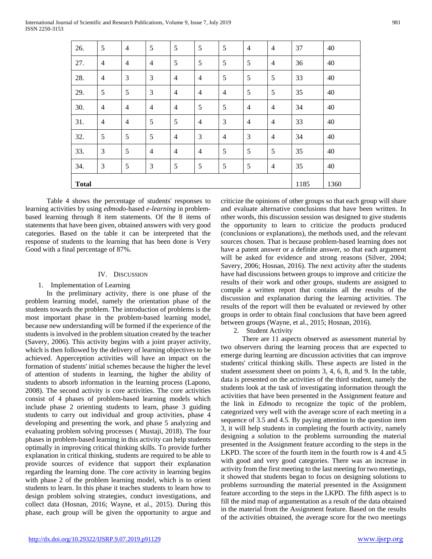| 26.          | 5              | $\overline{4}$ | 5              | 5              | 5              | 5              | $\overline{4}$ | $\overline{4}$ | 37   | 40   |
|--------------|----------------|----------------|----------------|----------------|----------------|----------------|----------------|----------------|------|------|
| 27.          | $\overline{4}$ | $\overline{4}$ | $\overline{4}$ | 5              | 5              | 5              | 5              | $\overline{4}$ | 36   | 40   |
| 28.          | $\overline{4}$ | 3              | 3              | $\overline{4}$ | $\overline{4}$ | 5              | 5              | $\sqrt{5}$     | 33   | 40   |
| 29.          | 5              | $\mathfrak s$  | 3              | $\overline{4}$ | $\overline{4}$ | $\overline{4}$ | 5              | 5              | 35   | 40   |
| 30.          | $\overline{4}$ | $\overline{4}$ | $\overline{4}$ | $\overline{4}$ | 5              | 5              | $\overline{4}$ | 4              | 34   | 40   |
| 31.          | $\overline{4}$ | $\overline{4}$ | 5              | 5              | $\overline{4}$ | 3              | $\overline{4}$ | $\overline{4}$ | 33   | 40   |
| 32.          | 5              | 5              | 5              | $\overline{4}$ | 3              | $\overline{4}$ | 3              | 4              | 34   | 40   |
| 33.          | $\mathfrak{Z}$ | 5              | $\overline{4}$ | $\overline{4}$ | $\overline{4}$ | 5              | 5              | 5              | 35   | 40   |
| 34.          | 3              | $\mathfrak s$  | 3              | 5              | 5              | 5              | 5              | $\overline{4}$ | 35   | 40   |
| <b>Total</b> |                |                |                |                |                |                |                |                | 1185 | 1360 |

 Table 4 shows the percentage of students' responses to learning activities by using *edmodo*-based *e-learning* in problembased learning through 8 item statements. Of the 8 items of statements that have been given, obtained answers with very good categories. Based on the table it can be interpreted that the response of students to the learning that has been done is Very Good with a final percentage of 87%.

## IV. DISCUSSION

## 1. Implementation of Learning

 In the preliminary activity, there is one phase of the problem learning model, namely the orientation phase of the students towards the problem. The introduction of problems is the most important phase in the problem-based learning model, because new understanding will be formed if the experience of the students is involved in the problem situation created by the teacher (Savery, 2006). This activity begins with a joint prayer activity, which is then followed by the delivery of learning objectives to be achieved. Apperception activities will have an impact on the formation of students' initial schemes because the higher the level of attention of students in learning, the higher the ability of students to absorb information in the learning process (Lapono, 2008). The second activity is core activities. The core activities consist of 4 phases of problem-based learning models which include phase 2 orienting students to learn, phase 3 guiding students to carry out individual and group activities, phase 4 developing and presenting the work, and phase 5 analyzing and evaluating problem solving processes ( Mustaji, 2018). The four phases in problem-based learning in this activity can help students optimally in improving critical thinking skills. To provide further explanation in critical thinking, students are required to be able to provide sources of evidence that support their explanation regarding the learning done. The core activity in learning begins with phase 2 of the problem learning model, which is to orient students to learn. In this phase it teaches students to learn how to design problem solving strategies, conduct investigations, and collect data (Hosnan, 2016; Wayne, et al., 2015). During this phase, each group will be given the opportunity to argue and

criticize the opinions of other groups so that each group will share and evaluate alternative conclusions that have been written. In other words, this discussion session was designed to give students the opportunity to learn to criticize the products produced (conclusions or explanations), the methods used, and the relevant sources chosen. That is because problem-based learning does not have a patent answer or a definite answer, so that each argument will be asked for evidence and strong reasons (Silver, 2004; Savery, 2006; Hosnan, 2016). The next activity after the students have had discussions between groups to improve and criticize the results of their work and other groups, students are assigned to compile a written report that contains all the results of the discussion and explanation during the learning activities. The results of the report will then be evaluated or reviewed by other groups in order to obtain final conclusions that have been agreed between groups (Wayne, et al., 2015; Hosnan, 2016).

2. Student Activity

 There are 11 aspects observed as assessment material by two observers during the learning process that are expected to emerge during learning are discussion activities that can improve students' critical thinking skills. These aspects are listed in the student assessment sheet on points 3, 4, 6, 8, and 9. In the table, data is presented on the activities of the third student, namely the students look at the task of investigating information through the activities that have been presented in the Assignment feature and the link in *Edmodo* to recognize the topic of the problem, categorized very well with the average score of each meeting in a sequence of 3.5 and 4.5. By paying attention to the question item 3, it will help students in completing the fourth activity, namely designing a solution to the problems surrounding the material presented in the Assignment feature according to the steps in the LKPD. The score of the fourth item in the fourth row is 4 and 4.5 with good and very good categories. There was an increase in activity from the first meeting to the last meeting for two meetings, it showed that students began to focus on designing solutions to problems surrounding the material presented in the Assignment feature according to the steps in the LKPD. The fifth aspect is to fill the mind map of argumentation as a result of the data obtained in the material from the Assignment feature. Based on the results of the activities obtained, the average score for the two meetings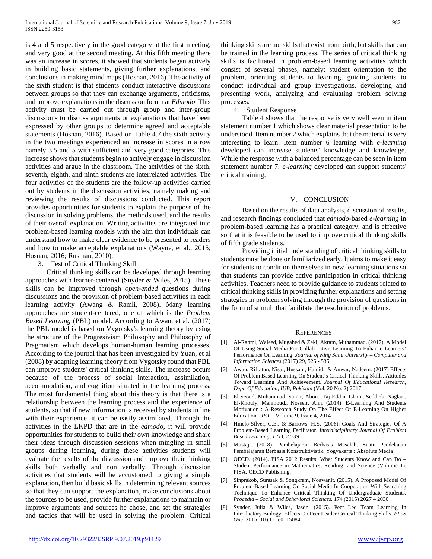is 4 and 5 respectively in the good category at the first meeting, and very good at the second meeting. At this fifth meeting there was an increase in scores, it showed that students began actively in building basic statements, giving further explanations, and conclusions in making mind maps (Hosnan, 2016). The activity of the sixth student is that students conduct interactive discussions between groups so that they can exchange arguments, criticisms, and improve explanations in the discussion forum at *Edmodo*. This activity must be carried out through group and inter-group discussions to discuss arguments or explanations that have been expressed by other groups to determine agreed and acceptable statements (Hosnan, 2016). Based on Table 4.7 the sixth activity in the two meetings experienced an increase in scores in a row namely 3.5 and 5 with sufficient and very good categories. This increase shows that students begin to actively engage in discussion activities and argue in the classroom. The activities of the sixth, seventh, eighth, and ninth students are interrelated activities. The four activities of the students are the follow-up activities carried out by students in the discussion activities, namely making and reviewing the results of discussions conducted. This report provides opportunities for students to explain the purpose of the discussion in solving problems, the methods used, and the results of their overall explanation. Writing activities are integrated into problem-based learning models with the aim that individuals can understand how to make clear evidence to be presented to readers and how to make acceptable explanations (Wayne, et al., 2015; Hosnan, 2016; Rusman, 2010).

#### 3. Test of Critical Thinking Skill

 Critical thinking skills can be developed through learning approaches with learner-centered (Snyder & Wiles, 2015). These skills can be improved through *open-ended* questions during discussions and the provision of problem-based activities in each learning activity (Awang & Ramli, 2008). Many learning approaches are student-centered, one of which is the *Problem Based Learning* (PBL) model. According to Awan, et al. (2017) the PBL model is based on Vygotsky's learning theory by using the structure of the Progresivism Philosophy and Philosophy of Pragmatism which develops human-human learning processes. According to the journal that has been investigated by Yuan, et al (2008) by adapting learning theory from Vygotsky found that PBL can improve students' critical thinking skills. The increase occurs because of the process of social interaction, assimilation, accommodation, and cognition situated in the learning process. The most fundamental thing about this theory is that there is a relationship between the learning process and the experience of students, so that if new information is received by students in line with their experience, it can be easily assimilated. Through the activities in the LKPD that are in the *edmodo*, it will provide opportunities for students to build their own knowledge and share their ideas through discussion sessions when mingling in small groups during learning, during these activities students will evaluate the results of the discussion and improve their thinking skills both verbally and non verbally. Through discussion activities that students will be accustomed to giving a simple explanation, then build basic skills in determining relevant sources so that they can support the explanation, make conclusions about the sources to be used, provide further explanations to maintain or improve arguments and sources he chose, and set the strategies and tactics that will be used in solving the problem. Critical

thinking skills are not skills that exist from birth, but skills that can be trained in the learning process. The series of critical thinking skills is facilitated in problem-based learning activities which consist of several phases, namely: student orientation to the problem, orienting students to learning, guiding students to conduct individual and group investigations, developing and presenting work, analyzing and evaluating problem solving processes.

### 4. Student Response

 Table 4 shows that the response is very well seen in item statement number 1 which shows clear material presentation to be understood. Item number 2 which explains that the material is very interesting to learn. Item number 6 learning with *e-learning* developed can increase students' knowledge and knowledge. While the response with a balanced percentage can be seen in item statement number 7, *e-learning* developed can support students' critical training.

## V. CONCLUSION

 Based on the results of data analysis, discussion of results, and research findings concluded that *edmodo*-based *e-learning* in problem-based learning has a practical category, and is effective so that it is feasible to be used to improve critical thinking skills of fifth grade students.

 Providing initial understanding of critical thinking skills to students must be done or familiarized early. It aims to make it easy for students to condition themselves in new learning situations so that students can provide active participation in critical thinking activities. Teachers need to provide guidance to students related to critical thinking skills in providing further explanations and setting strategies in problem solving through the provision of questions in the form of stimuli that facilitate the resolution of problems.

#### **REFERENCES**

- [1] Al-Rahmi, Waleed, Mugahed & Zeki, Akram, Muhammad. (2017). A Model Of Using Social Media For Collaborative Learning To Enhance Learners' Performance On Learning. *Journal of King Saud University – Computer and Information Sciences* (2017) 29, 526 - 535
- [2] Awan, Riffatun, Nisa., Hussain, Hamid., & Anwar, Nadeem. (2017) Effects Of Problem Based Learning On Student's Critical Thinking Skills, Attitudes Toward Learning And Achievement. *Journal Of Educational Research, Dept. Of Education, IUB, Pakistan* (Vol. 20 No. 2) 2017
- [3] El-Seoud, Muhammad, Samir, Abou., Taj-Eddin, Islam., Seddiek, Naglaa., El-Khouly, Mahmoud., Nosseir, Ann. (2014). E-Learning And Students Motivation : A-Research Study On The Effect Of E-Learning On Higher Education. *iJET* – Volume 9, Issue 4, 2014
- [4] Hmelo-Silver, C.E., & Barrows, H.S. (2006). Goals And Strategies Of A Problem-Based Learning Facilitator. *Interdisciplinary Journal Of Problem Based Learning, 1 (1), 21-39*
- [5] Mustaji. (2018). Pembelajaran Berbasis Masalah. Suatu Pendekatan Pembelajaran Berbasis Konstruktivistik. Yogyakarta : Absolute Media
- [6] OECD. (2014). PISA 2012 Results: What Students Know and Can Do Student Performance in Mathematics, Reading, and Science (Volume 1). PISA. OECD Publishing.
- [7] Sinprakob, Surasak & Songkram, Noawanit. (2015). A Proposed Model Of Problem-Based Learning On Social Media In Cooperation With Searching Technique To Enhance Critical Thinking Of Undergraduate Students. *Procedia – Social and Behavioral Sciences.* 174 (2015) 2027 – 2030
- [8] Synder, Julia & Wiles, Jason. (2015). Peer Led Team Learning In Introductory Biology: Effects On Peer Leader Critical Thinking Skills. *PLoS One*. 2015; 10 (1) : e0115084